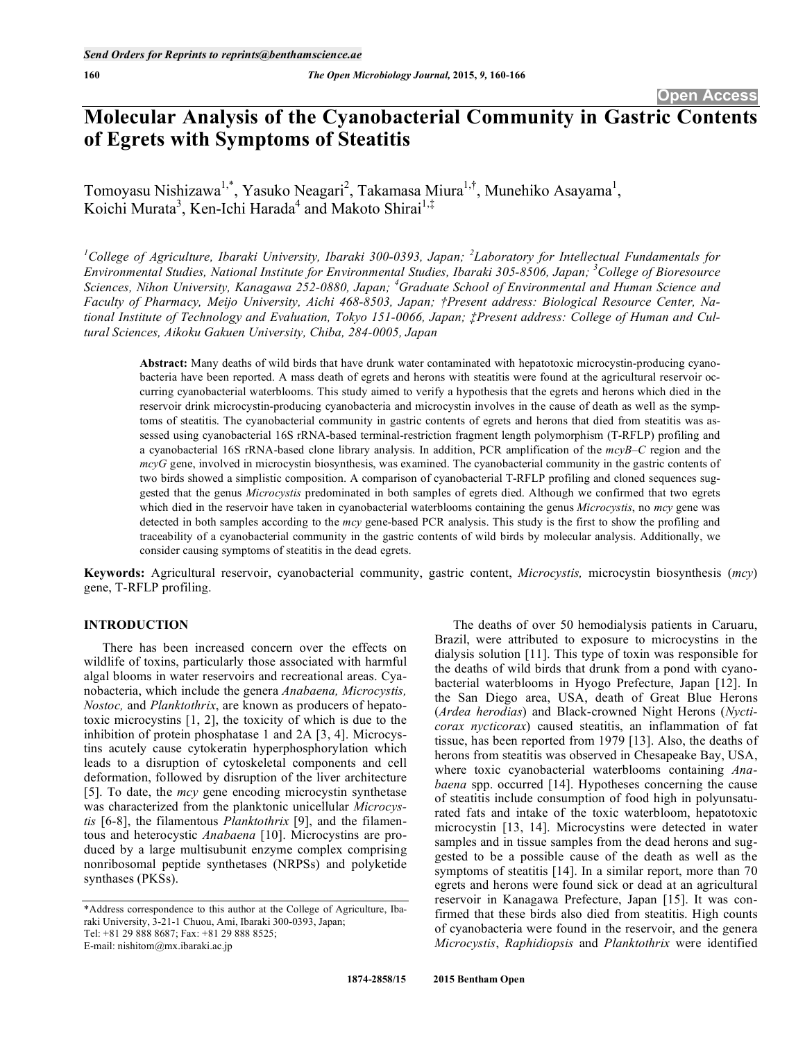# **Molecular Analysis of the Cyanobacterial Community in Gastric Contents of Egrets with Symptoms of Steatitis**

Tomoyasu Nishizawa<sup>1,\*</sup>, Yasuko Neagari<sup>2</sup>, Takamasa Miura<sup>1,†</sup>, Munehiko Asayama<sup>1</sup>, Koichi Murata<sup>3</sup>, Ken-Ichi Harada<sup>4</sup> and Makoto Shirai<sup>1,‡</sup>

<sup>1</sup>College of Agriculture, Ibaraki University, Ibaraki 300-0393, Japan; <sup>2</sup>Laboratory for Intellectual Fundamentals for *Environmental Studies, National Institute for Environmental Studies, Ibaraki 305-8506, Japan; <sup>3</sup> College of Bioresource Sciences, Nihon University, Kanagawa 252-0880, Japan; <sup>4</sup> Graduate School of Environmental and Human Science and Faculty of Pharmacy, Meijo University, Aichi 468-8503, Japan; †Present address: Biological Resource Center, National Institute of Technology and Evaluation, Tokyo 151-0066, Japan; ‡Present address: College of Human and Cultural Sciences, Aikoku Gakuen University, Chiba, 284-0005, Japan* 

**Abstract:** Many deaths of wild birds that have drunk water contaminated with hepatotoxic microcystin-producing cyanobacteria have been reported. A mass death of egrets and herons with steatitis were found at the agricultural reservoir occurring cyanobacterial waterblooms. This study aimed to verify a hypothesis that the egrets and herons which died in the reservoir drink microcystin-producing cyanobacteria and microcystin involves in the cause of death as well as the symptoms of steatitis. The cyanobacterial community in gastric contents of egrets and herons that died from steatitis was assessed using cyanobacterial 16S rRNA-based terminal-restriction fragment length polymorphism (T-RFLP) profiling and a cyanobacterial 16S rRNA-based clone library analysis. In addition, PCR amplification of the *mcyB*–*C* region and the *mcyG* gene, involved in microcystin biosynthesis, was examined. The cyanobacterial community in the gastric contents of two birds showed a simplistic composition. A comparison of cyanobacterial T-RFLP profiling and cloned sequences suggested that the genus *Microcystis* predominated in both samples of egrets died. Although we confirmed that two egrets which died in the reservoir have taken in cyanobacterial waterblooms containing the genus *Microcystis*, no *mcy* gene was detected in both samples according to the *mcy* gene-based PCR analysis. This study is the first to show the profiling and traceability of a cyanobacterial community in the gastric contents of wild birds by molecular analysis. Additionally, we consider causing symptoms of steatitis in the dead egrets.

**Keywords:** Agricultural reservoir, cyanobacterial community, gastric content, *Microcystis,* microcystin biosynthesis (*mcy*) gene, T-RFLP profiling.

# **INTRODUCTION**

There has been increased concern over the effects on wildlife of toxins, particularly those associated with harmful algal blooms in water reservoirs and recreational areas. Cyanobacteria, which include the genera *Anabaena, Microcystis, Nostoc,* and *Planktothrix*, are known as producers of hepatotoxic microcystins [1, 2], the toxicity of which is due to the inhibition of protein phosphatase 1 and 2A [3, 4]. Microcystins acutely cause cytokeratin hyperphosphorylation which leads to a disruption of cytoskeletal components and cell deformation, followed by disruption of the liver architecture [5]. To date, the *mcy* gene encoding microcystin synthetase was characterized from the planktonic unicellular *Microcystis* [6-8], the filamentous *Planktothrix* [9], and the filamentous and heterocystic *Anabaena* [10]. Microcystins are produced by a large multisubunit enzyme complex comprising nonribosomal peptide synthetases (NRPSs) and polyketide synthases (PKSs).

\*Address correspondence to this author at the College of Agriculture, Ibaraki University, 3-21-1 Chuou, Ami, Ibaraki 300-0393, Japan; Tel: +81 29 888 8687; Fax: +81 29 888 8525;

E-mail: nishitom@mx.ibaraki.ac.jp

The deaths of over 50 hemodialysis patients in Caruaru, Brazil, were attributed to exposure to microcystins in the dialysis solution [11]. This type of toxin was responsible for the deaths of wild birds that drunk from a pond with cyanobacterial waterblooms in Hyogo Prefecture, Japan [12]. In the San Diego area, USA, death of Great Blue Herons (*Ardea herodias*) and Black-crowned Night Herons (*Nycticorax nycticorax*) caused steatitis, an inflammation of fat tissue, has been reported from 1979 [13]. Also, the deaths of herons from steatitis was observed in Chesapeake Bay, USA, where toxic cyanobacterial waterblooms containing *Anabaena* spp. occurred [14]. Hypotheses concerning the cause of steatitis include consumption of food high in polyunsaturated fats and intake of the toxic waterbloom, hepatotoxic microcystin [13, 14]. Microcystins were detected in water samples and in tissue samples from the dead herons and suggested to be a possible cause of the death as well as the symptoms of steatitis [14]. In a similar report, more than 70 egrets and herons were found sick or dead at an agricultural reservoir in Kanagawa Prefecture, Japan [15]. It was confirmed that these birds also died from steatitis. High counts of cyanobacteria were found in the reservoir, and the genera *Microcystis*, *Raphidiopsis* and *Planktothrix* were identified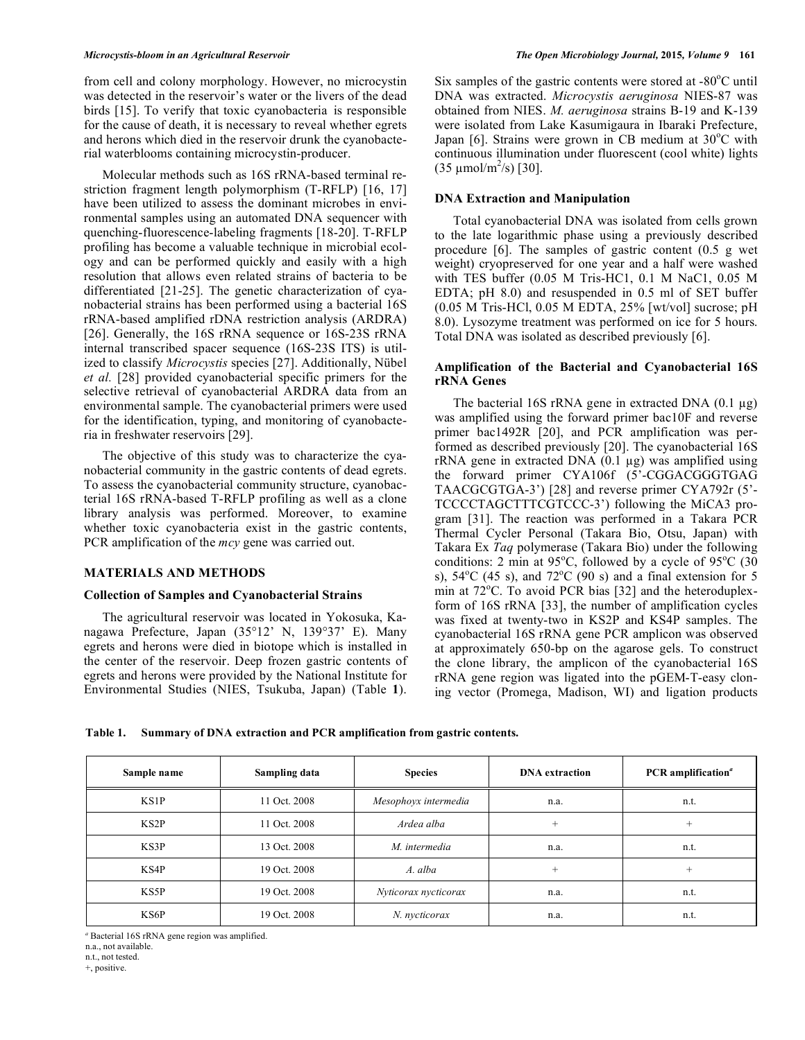from cell and colony morphology. However, no microcystin was detected in the reservoir's water or the livers of the dead birds [15]. To verify that toxic cyanobacteria is responsible for the cause of death, it is necessary to reveal whether egrets and herons which died in the reservoir drunk the cyanobacterial waterblooms containing microcystin-producer.

Molecular methods such as 16S rRNA-based terminal restriction fragment length polymorphism (T-RFLP) [16, 17] have been utilized to assess the dominant microbes in environmental samples using an automated DNA sequencer with quenching-fluorescence-labeling fragments [18-20]. T-RFLP profiling has become a valuable technique in microbial ecology and can be performed quickly and easily with a high resolution that allows even related strains of bacteria to be differentiated [21-25]. The genetic characterization of cyanobacterial strains has been performed using a bacterial 16S rRNA-based amplified rDNA restriction analysis (ARDRA) [26]. Generally, the 16S rRNA sequence or 16S-23S rRNA internal transcribed spacer sequence (16S-23S ITS) is utilized to classify *Microcystis* species [27]. Additionally, Nübel *et al.* [28] provided cyanobacterial specific primers for the selective retrieval of cyanobacterial ARDRA data from an environmental sample. The cyanobacterial primers were used for the identification, typing, and monitoring of cyanobacteria in freshwater reservoirs [29].

The objective of this study was to characterize the cyanobacterial community in the gastric contents of dead egrets. To assess the cyanobacterial community structure, cyanobacterial 16S rRNA-based T-RFLP profiling as well as a clone library analysis was performed. Moreover, to examine whether toxic cyanobacteria exist in the gastric contents, PCR amplification of the *mcy* gene was carried out.

# **MATERIALS AND METHODS**

# **Collection of Samples and Cyanobacterial Strains**

The agricultural reservoir was located in Yokosuka, Kanagawa Prefecture, Japan (35°12' N, 139°37' E). Many egrets and herons were died in biotope which is installed in the center of the reservoir. Deep frozen gastric contents of egrets and herons were provided by the National Institute for Environmental Studies (NIES, Tsukuba, Japan) (Table **1**).

Six samples of the gastric contents were stored at -80°C until DNA was extracted. *Microcystis aeruginosa* NIES-87 was obtained from NIES. *M. aeruginosa* strains B-19 and K-139 were isolated from Lake Kasumigaura in Ibaraki Prefecture, Japan [6]. Strains were grown in CB medium at  $30^{\circ}$ C with continuous illumination under fluorescent (cool white) lights  $(35 \text{ µmol/m}^2/\text{s})$  [30].

# **DNA Extraction and Manipulation**

Total cyanobacterial DNA was isolated from cells grown to the late logarithmic phase using a previously described procedure [6]. The samples of gastric content (0.5 g wet weight) cryopreserved for one year and a half were washed with TES buffer (0.05 M Tris-HC1, 0.1 M NaC1, 0.05 M EDTA; pH 8.0) and resuspended in 0.5 ml of SET buffer (0.05 M Tris-HCl, 0.05 M EDTA, 25% [wt/vol] sucrose; pH 8.0). Lysozyme treatment was performed on ice for 5 hours. Total DNA was isolated as described previously [6].

# **Amplification of the Bacterial and Cyanobacterial 16S rRNA Genes**

The bacterial 16S rRNA gene in extracted DNA  $(0.1 \mu g)$ was amplified using the forward primer bac10F and reverse primer bac1492R [20], and PCR amplification was performed as described previously [20]. The cyanobacterial 16S rRNA gene in extracted DNA  $(0.1 \mu g)$  was amplified using the forward primer CYA106f (5'-CGGACGGGTGAG TAACGCGTGA-3') [28] and reverse primer CYA792r (5'- TCCCCTAGCTTTCGTCCC-3') following the MiCA3 program [31]. The reaction was performed in a Takara PCR Thermal Cycler Personal (Takara Bio, Otsu, Japan) with Takara Ex *Taq* polymerase (Takara Bio) under the following conditions: 2 min at 95°C, followed by a cycle of 95°C (30 s),  $54^{\circ}$ C (45 s), and  $72^{\circ}$ C (90 s) and a final extension for 5 min at  $72^{\circ}$ C. To avoid PCR bias [32] and the heteroduplexform of 16S rRNA [33], the number of amplification cycles was fixed at twenty-two in KS2P and KS4P samples. The cyanobacterial 16S rRNA gene PCR amplicon was observed at approximately 650-bp on the agarose gels. To construct the clone library, the amplicon of the cyanobacterial 16S rRNA gene region was ligated into the pGEM-T-easy cloning vector (Promega, Madison, WI) and ligation products

**Table 1. Summary of DNA extraction and PCR amplification from gastric contents.** 

| Sample name | Sampling data | <b>Species</b>       | <b>DNA</b> extraction | <b>PCR</b> amplification <sup><i>a</i></sup> |
|-------------|---------------|----------------------|-----------------------|----------------------------------------------|
| KS1P        | 11 Oct. 2008  | Mesophoyx intermedia | n.a.                  | n.t.                                         |
| KS2P        | 11 Oct. 2008  | Ardea alba           | $^{+}$                | $^{+}$                                       |
| KS3P        | 13 Oct. 2008  | M. intermedia        | n.a.                  | n.t.                                         |
| KS4P        | 19 Oct. 2008  | A. alba              | $^{+}$                | $^{+}$                                       |
| KS5P        | 19 Oct. 2008  | Nyticorax nycticorax | n.a.                  | n.t.                                         |
| KS6P        | 19 Oct. 2008  | N. nycticorax        | n.a.                  | n.t.                                         |

*<sup>a</sup>* Bacterial 16S rRNA gene region was amplified.

n.a., not available.

n.t., not tested.

+, positive.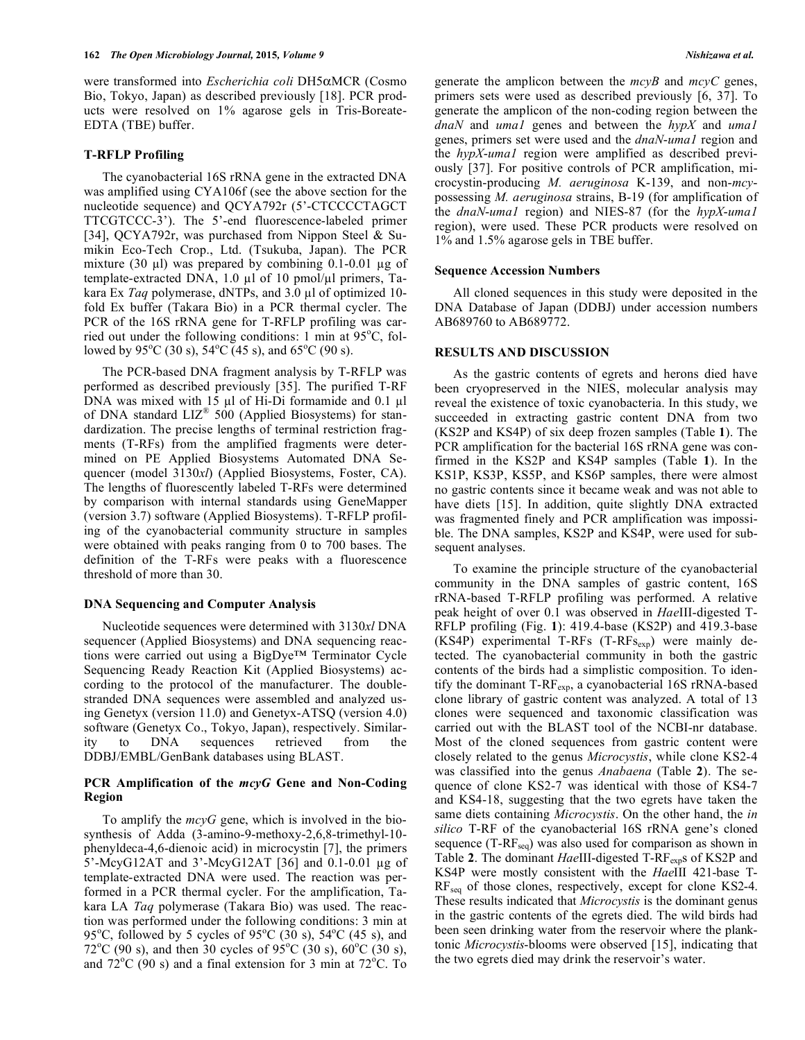were transformed into *Escherichia coli* DH5αMCR (Cosmo Bio, Tokyo, Japan) as described previously [18]. PCR products were resolved on 1% agarose gels in Tris-Boreate-EDTA (TBE) buffer.

# **T-RFLP Profiling**

The cyanobacterial 16S rRNA gene in the extracted DNA was amplified using CYA106f (see the above section for the nucleotide sequence) and QCYA792r (5'-CTCCCCTAGCT TTCGTCCC-3'). The 5'-end fluorescence-labeled primer [34], QCYA792r, was purchased from Nippon Steel & Sumikin Eco-Tech Crop., Ltd. (Tsukuba, Japan). The PCR mixture (30  $\mu$ I) was prepared by combining 0.1-0.01  $\mu$ g of template-extracted DNA,  $1.0 \mu l$  of 10 pmol/ $\mu l$  primers, Takara Ex *Taq* polymerase, dNTPs, and 3.0 µl of optimized 10fold Ex buffer (Takara Bio) in a PCR thermal cycler. The PCR of the 16S rRNA gene for T-RFLP profiling was carried out under the following conditions:  $1 \text{ min}$  at 95 $\textdegree$ C, followed by 95<sup>o</sup>C (30 s), 54<sup>o</sup>C (45 s), and 65<sup>o</sup>C (90 s).

The PCR-based DNA fragment analysis by T-RFLP was performed as described previously [35]. The purified T-RF DNA was mixed with 15  $\mu$ l of Hi-Di formamide and 0.1  $\mu$ l of DNA standard LIZ® 500 (Applied Biosystems) for standardization. The precise lengths of terminal restriction fragments (T-RFs) from the amplified fragments were determined on PE Applied Biosystems Automated DNA Sequencer (model 3130*xl*) (Applied Biosystems, Foster, CA). The lengths of fluorescently labeled T-RFs were determined by comparison with internal standards using GeneMapper (version 3.7) software (Applied Biosystems). T-RFLP profiling of the cyanobacterial community structure in samples were obtained with peaks ranging from 0 to 700 bases. The definition of the T-RFs were peaks with a fluorescence threshold of more than 30.

# **DNA Sequencing and Computer Analysis**

Nucleotide sequences were determined with 3130*xl* DNA sequencer (Applied Biosystems) and DNA sequencing reactions were carried out using a BigDye™ Terminator Cycle Sequencing Ready Reaction Kit (Applied Biosystems) according to the protocol of the manufacturer. The doublestranded DNA sequences were assembled and analyzed using Genetyx (version 11.0) and Genetyx-ATSQ (version 4.0) software (Genetyx Co., Tokyo, Japan), respectively. Similarity to DNA sequences retrieved from the DDBJ/EMBL/GenBank databases using BLAST.

### **PCR Amplification of the** *mcyG* **Gene and Non-Coding Region**

To amplify the *mcyG* gene, which is involved in the biosynthesis of Adda (3-amino-9-methoxy-2,6,8-trimethyl-10 phenyldeca-4,6-dienoic acid) in microcystin [7], the primers 5'-McyG12AT and 3'-McyG12AT [36] and  $0.1$ -0.01 µg of template-extracted DNA were used. The reaction was performed in a PCR thermal cycler. For the amplification, Takara LA *Taq* polymerase (Takara Bio) was used. The reaction was performed under the following conditions: 3 min at 95<sup>o</sup>C, followed by 5 cycles of 95<sup>o</sup>C (30 s), 54<sup>o</sup>C (45 s), and 72<sup>o</sup>C (90 s), and then 30 cycles of 95<sup>o</sup>C (30 s), 60<sup>o</sup>C (30 s), and  $72^{\circ}$ C (90 s) and a final extension for 3 min at  $72^{\circ}$ C. To generate the amplicon between the *mcyB* and *mcyC* genes, primers sets were used as described previously [6, 37]. To generate the amplicon of the non-coding region between the *dnaN* and *uma1* genes and between the *hypX* and *uma1* genes, primers set were used and the *dnaN*-*uma1* region and the *hypX*-*uma1* region were amplified as described previously [37]. For positive controls of PCR amplification, microcystin-producing *M. aeruginosa* K-139, and non-*mcy*possessing *M. aeruginosa* strains, B-19 (for amplification of the *dnaN*-*uma1* region) and NIES-87 (for the *hypX*-*uma1* region), were used. These PCR products were resolved on 1% and 1.5% agarose gels in TBE buffer.

#### **Sequence Accession Numbers**

All cloned sequences in this study were deposited in the DNA Database of Japan (DDBJ) under accession numbers AB689760 to AB689772.

#### **RESULTS AND DISCUSSION**

As the gastric contents of egrets and herons died have been cryopreserved in the NIES, molecular analysis may reveal the existence of toxic cyanobacteria. In this study, we succeeded in extracting gastric content DNA from two (KS2P and KS4P) of six deep frozen samples (Table **1**). The PCR amplification for the bacterial 16S rRNA gene was confirmed in the KS2P and KS4P samples (Table **1**). In the KS1P, KS3P, KS5P, and KS6P samples, there were almost no gastric contents since it became weak and was not able to have diets [15]. In addition, quite slightly DNA extracted was fragmented finely and PCR amplification was impossible. The DNA samples, KS2P and KS4P, were used for subsequent analyses.

To examine the principle structure of the cyanobacterial community in the DNA samples of gastric content, 16S rRNA-based T-RFLP profiling was performed. A relative peak height of over 0.1 was observed in *Hae*III-digested T-RFLP profiling (Fig. **1**): 419.4-base (KS2P) and 419.3-base (KS4P) experimental T-RFs  $(T-RFs_{exp})$  were mainly detected. The cyanobacterial community in both the gastric contents of the birds had a simplistic composition. To identify the dominant T-RF<sub>exp</sub>, a cyanobacterial 16S rRNA-based clone library of gastric content was analyzed. A total of 13 clones were sequenced and taxonomic classification was carried out with the BLAST tool of the NCBI-nr database. Most of the cloned sequences from gastric content were closely related to the genus *Microcystis*, while clone KS2-4 was classified into the genus *Anabaena* (Table **2**). The sequence of clone KS2-7 was identical with those of KS4-7 and KS4-18, suggesting that the two egrets have taken the same diets containing *Microcystis*. On the other hand, the *in silico* T-RF of the cyanobacterial 16S rRNA gene's cloned sequence  $(T-RF_{seq})$  was also used for comparison as shown in Table **2**. The dominant *Hae*III-digested T-RFexps of KS2P and KS4P were mostly consistent with the *Hae*III 421-base T-RF<sub>seq</sub> of those clones, respectively, except for clone KS2-4. These results indicated that *Microcystis* is the dominant genus in the gastric contents of the egrets died. The wild birds had been seen drinking water from the reservoir where the planktonic *Microcystis*-blooms were observed [15], indicating that the two egrets died may drink the reservoir's water.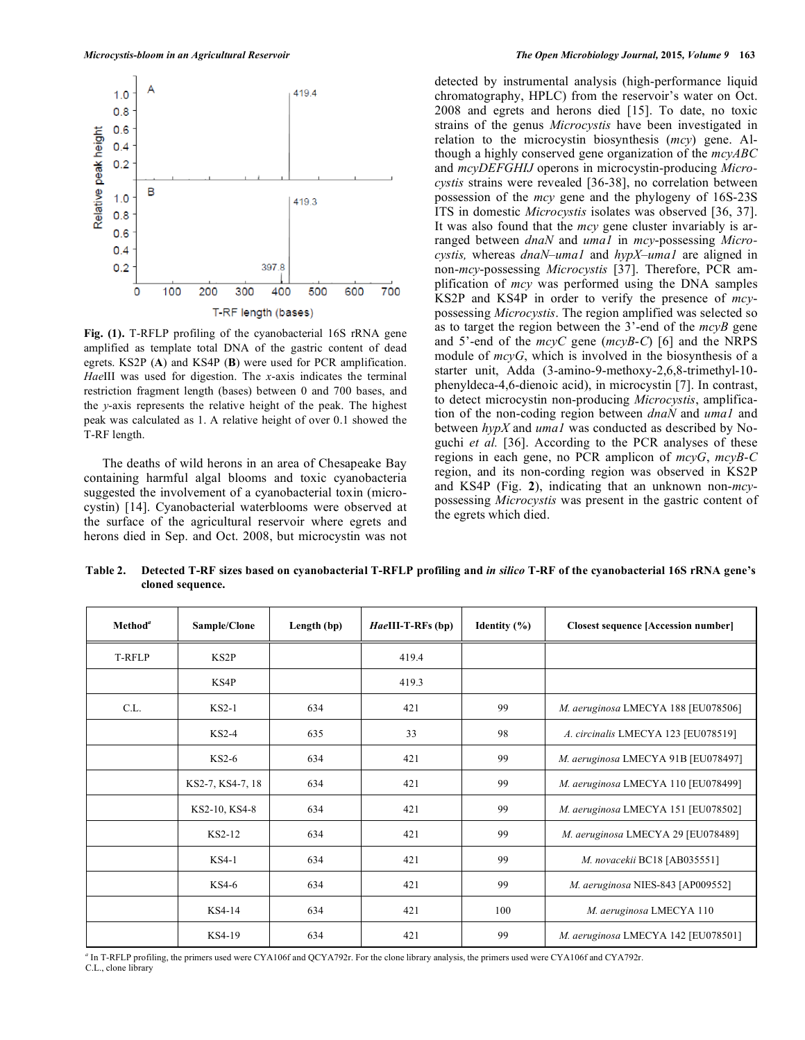

**Fig. (1).** T-RFLP profiling of the cyanobacterial 16S rRNA gene amplified as template total DNA of the gastric content of dead egrets. KS2P (**A**) and KS4P (**B**) were used for PCR amplification. *Hae*III was used for digestion. The *x*-axis indicates the terminal restriction fragment length (bases) between 0 and 700 bases, and the *y*-axis represents the relative height of the peak. The highest peak was calculated as 1. A relative height of over 0.1 showed the T-RF length.

The deaths of wild herons in an area of Chesapeake Bay containing harmful algal blooms and toxic cyanobacteria suggested the involvement of a cyanobacterial toxin (microcystin) [14]. Cyanobacterial waterblooms were observed at the surface of the agricultural reservoir where egrets and herons died in Sep. and Oct. 2008, but microcystin was not detected by instrumental analysis (high-performance liquid chromatography, HPLC) from the reservoir's water on Oct. 2008 and egrets and herons died [15]. To date, no toxic strains of the genus *Microcystis* have been investigated in relation to the microcystin biosynthesis (*mcy*) gene. Although a highly conserved gene organization of the *mcyABC* and *mcyDEFGHIJ* operons in microcystin-producing *Microcystis* strains were revealed [36-38], no correlation between possession of the *mcy* gene and the phylogeny of 16S-23S ITS in domestic *Microcystis* isolates was observed [36, 37]. It was also found that the *mcy* gene cluster invariably is arranged between *dnaN* and *uma1* in *mcy*-possessing *Microcystis,* whereas *dnaN*–*uma1* and *hypX*–*uma1* are aligned in non-*mcy*-possessing *Microcystis* [37]. Therefore, PCR amplification of *mcy* was performed using the DNA samples KS2P and KS4P in order to verify the presence of *mcy*possessing *Microcystis*. The region amplified was selected so as to target the region between the 3'-end of the *mcyB* gene and 5'-end of the *mcyC* gene (*mcyB*-*C*) [6] and the NRPS module of *mcyG*, which is involved in the biosynthesis of a starter unit, Adda (3-amino-9-methoxy-2,6,8-trimethyl-10 phenyldeca-4,6-dienoic acid), in microcystin [7]. In contrast, to detect microcystin non-producing *Microcystis*, amplification of the non-coding region between *dnaN* and *uma1* and between *hypX* and *uma1* was conducted as described by Noguchi *et al.* [36]. According to the PCR analyses of these regions in each gene, no PCR amplicon of *mcyG*, *mcyB*-*C* region, and its non-cording region was observed in KS2P and KS4P (Fig. **2**), indicating that an unknown non-*mcy*possessing *Microcystis* was present in the gastric content of the egrets which died.

**Table 2. Detected T-RF sizes based on cyanobacterial T-RFLP profiling and** *in silico* **T-RF of the cyanobacterial 16S rRNA gene's cloned sequence.** 

| Method <sup>a</sup> | Sample/Clone     | Length (bp) | <i>HaeIII-T-RFs (bp)</i> | Identity $(\% )$ | <b>Closest sequence [Accession number]</b> |
|---------------------|------------------|-------------|--------------------------|------------------|--------------------------------------------|
| T-RFLP              | KS2P             |             | 419.4                    |                  |                                            |
|                     | KS4P             |             | 419.3                    |                  |                                            |
| C.L.                | $KS2-1$          | 634         | 421                      | 99               | M. aeruginosa LMECYA 188 [EU078506]        |
|                     | $KS2-4$          | 635         | 33                       | 98               | A. circinalis LMECYA 123 [EU078519]        |
|                     | $KS2-6$          | 634         | 421                      | 99               | M. aeruginosa LMECYA 91B [EU078497]        |
|                     | KS2-7, KS4-7, 18 | 634         | 421                      | 99               | M. aeruginosa LMECYA 110 [EU078499]        |
|                     | KS2-10, KS4-8    | 634         | 421                      | 99               | M. aeruginosa LMECYA 151 [EU078502]        |
|                     | KS2-12           | 634         | 421                      | 99               | M. aeruginosa LMECYA 29 [EU078489]         |
|                     | KS4-1            | 634         | 421                      | 99               | M. novacekii BC18 [AB035551]               |
|                     | KS4-6            | 634         | 421                      | 99               | M. aeruginosa NIES-843 [AP009552]          |
|                     | KS4-14           | 634         | 421                      | 100              | M. aeruginosa LMECYA 110                   |
|                     | KS4-19           | 634         | 421                      | 99               | M. aeruginosa LMECYA 142 [EU078501]        |

*a* In T-RFLP profiling, the primers used were CYA106f and QCYA792r. For the clone library analysis, the primers used were CYA106f and CYA792r. C.L., clone library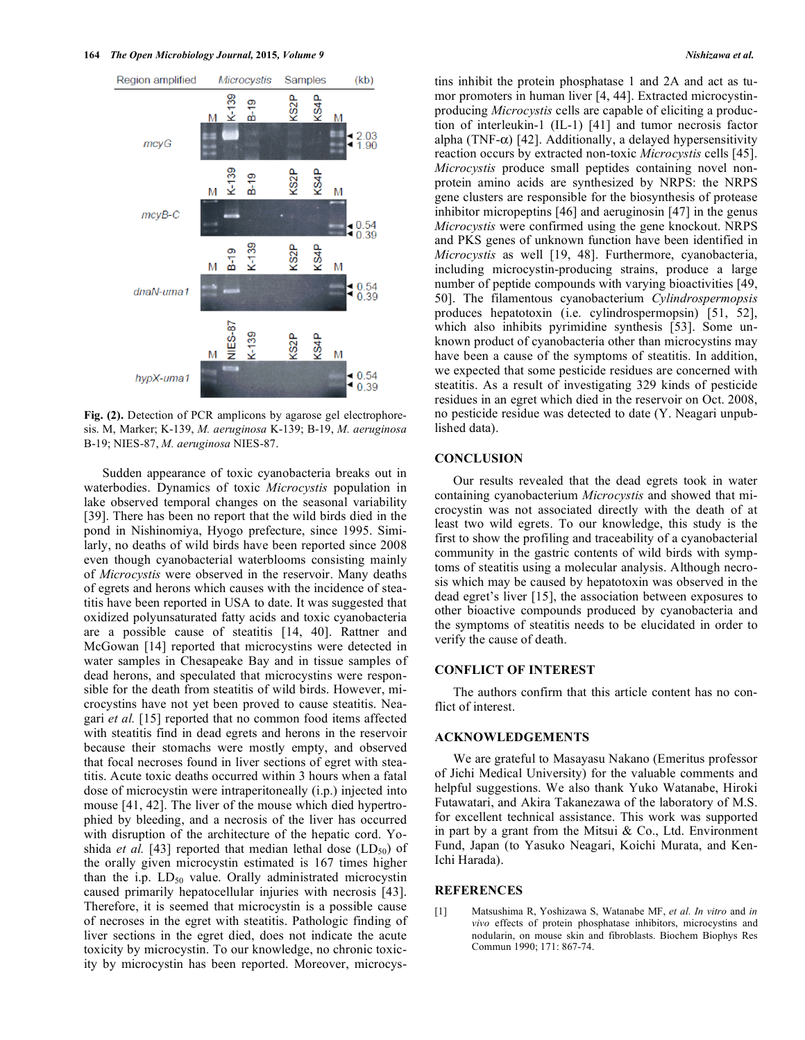#### **164** *The Open Microbiology Journal,* **2015***, Volume 9 Nishizawa et al.*



Fig. (2). Detection of PCR amplicons by agarose gel electrophoresis. M, Marker; K-139, *M. aeruginosa* K-139; B-19, *M. aeruginosa* B-19; NIES-87, *M. aeruginosa* NIES-87.

Sudden appearance of toxic cyanobacteria breaks out in waterbodies. Dynamics of toxic *Microcystis* population in lake observed temporal changes on the seasonal variability [39]. There has been no report that the wild birds died in the pond in Nishinomiya, Hyogo prefecture, since 1995. Similarly, no deaths of wild birds have been reported since 2008 even though cyanobacterial waterblooms consisting mainly of *Microcystis* were observed in the reservoir. Many deaths of egrets and herons which causes with the incidence of steatitis have been reported in USA to date. It was suggested that oxidized polyunsaturated fatty acids and toxic cyanobacteria are a possible cause of steatitis [14, 40]. Rattner and McGowan [14] reported that microcystins were detected in water samples in Chesapeake Bay and in tissue samples of dead herons, and speculated that microcystins were responsible for the death from steatitis of wild birds. However, microcystins have not yet been proved to cause steatitis. Neagari *et al.* [15] reported that no common food items affected with steatitis find in dead egrets and herons in the reservoir because their stomachs were mostly empty, and observed that focal necroses found in liver sections of egret with steatitis. Acute toxic deaths occurred within 3 hours when a fatal dose of microcystin were intraperitoneally (i.p.) injected into mouse [41, 42]. The liver of the mouse which died hypertrophied by bleeding, and a necrosis of the liver has occurred with disruption of the architecture of the hepatic cord. Yoshida *et al.* [43] reported that median lethal dose  $(LD_{50})$  of the orally given microcystin estimated is 167 times higher than the i.p.  $LD_{50}$  value. Orally administrated microcystin caused primarily hepatocellular injuries with necrosis [43]. Therefore, it is seemed that microcystin is a possible cause of necroses in the egret with steatitis. Pathologic finding of liver sections in the egret died, does not indicate the acute toxicity by microcystin. To our knowledge, no chronic toxicity by microcystin has been reported. Moreover, microcystins inhibit the protein phosphatase 1 and 2A and act as tumor promoters in human liver [4, 44]. Extracted microcystinproducing *Microcystis* cells are capable of eliciting a production of interleukin-1 (IL-1) [41] and tumor necrosis factor alpha (TNF- $\alpha$ ) [42]. Additionally, a delayed hypersensitivity reaction occurs by extracted non-toxic *Microcystis* cells [45]. *Microcystis* produce small peptides containing novel nonprotein amino acids are synthesized by NRPS: the NRPS gene clusters are responsible for the biosynthesis of protease inhibitor micropeptins [46] and aeruginosin [47] in the genus *Microcystis* were confirmed using the gene knockout. NRPS and PKS genes of unknown function have been identified in *Microcystis* as well [19, 48]. Furthermore, cyanobacteria, including microcystin-producing strains, produce a large number of peptide compounds with varying bioactivities [49, 50]. The filamentous cyanobacterium *Cylindrospermopsis*  produces hepatotoxin (i.e. cylindrospermopsin) [51, 52], which also inhibits pyrimidine synthesis [53]. Some unknown product of cyanobacteria other than microcystins may have been a cause of the symptoms of steatitis. In addition, we expected that some pesticide residues are concerned with steatitis. As a result of investigating 329 kinds of pesticide residues in an egret which died in the reservoir on Oct. 2008, no pesticide residue was detected to date (Y. Neagari unpublished data).

# **CONCLUSION**

Our results revealed that the dead egrets took in water containing cyanobacterium *Microcystis* and showed that microcystin was not associated directly with the death of at least two wild egrets. To our knowledge, this study is the first to show the profiling and traceability of a cyanobacterial community in the gastric contents of wild birds with symptoms of steatitis using a molecular analysis. Although necrosis which may be caused by hepatotoxin was observed in the dead egret's liver [15], the association between exposures to other bioactive compounds produced by cyanobacteria and the symptoms of steatitis needs to be elucidated in order to verify the cause of death.

### **CONFLICT OF INTEREST**

The authors confirm that this article content has no conflict of interest.

# **ACKNOWLEDGEMENTS**

We are grateful to Masayasu Nakano (Emeritus professor of Jichi Medical University) for the valuable comments and helpful suggestions. We also thank Yuko Watanabe, Hiroki Futawatari, and Akira Takanezawa of the laboratory of M.S. for excellent technical assistance. This work was supported in part by a grant from the Mitsui  $& Co.,$  Ltd. Environment Fund, Japan (to Yasuko Neagari, Koichi Murata, and Ken-Ichi Harada).

#### **REFERENCES**

[1] Matsushima R, Yoshizawa S, Watanabe MF, *et al. In vitro* and *in vivo* effects of protein phosphatase inhibitors, microcystins and nodularin, on mouse skin and fibroblasts. Biochem Biophys Res Commun 1990; 171: 867-74.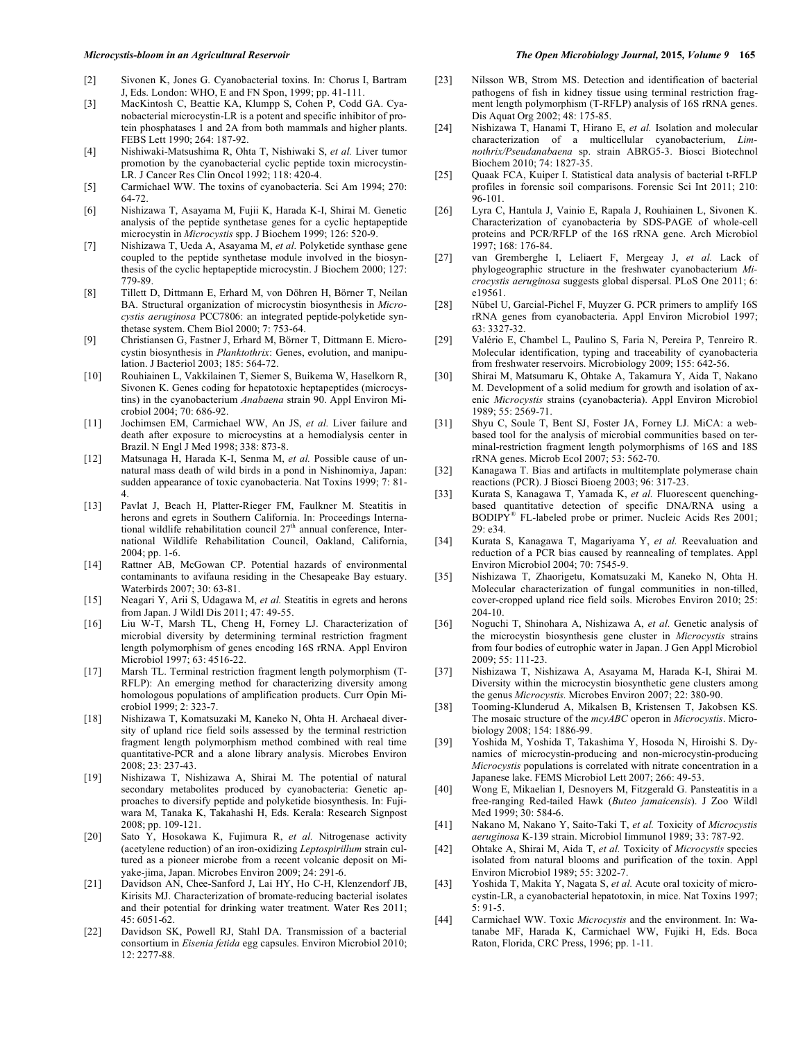- [2] Sivonen K, Jones G. Cyanobacterial toxins. In: Chorus I, Bartram J, Eds. London: WHO, E and FN Spon, 1999; pp. 41-111.
- [3] MacKintosh C, Beattie KA, Klumpp S, Cohen P, Codd GA. Cyanobacterial microcystin-LR is a potent and specific inhibitor of protein phosphatases 1 and 2A from both mammals and higher plants. FEBS Lett 1990; 264: 187-92.
- [4] Nishiwaki-Matsushima R, Ohta T, Nishiwaki S, *et al.* Liver tumor promotion by the cyanobacterial cyclic peptide toxin microcystin-LR. J Cancer Res Clin Oncol 1992; 118: 420-4.
- [5] Carmichael WW. The toxins of cyanobacteria. Sci Am 1994; 270: 64-72.
- [6] Nishizawa T, Asayama M, Fujii K, Harada K-I, Shirai M. Genetic analysis of the peptide synthetase genes for a cyclic heptapeptide microcystin in *Microcystis* spp. J Biochem 1999; 126: 520-9.
- [7] Nishizawa T, Ueda A, Asayama M, *et al.* Polyketide synthase gene coupled to the peptide synthetase module involved in the biosynthesis of the cyclic heptapeptide microcystin. J Biochem 2000; 127: 779-89.
- [8] Tillett D, Dittmann E, Erhard M, von Döhren H, Börner T, Neilan BA. Structural organization of microcystin biosynthesis in *Microcystis aeruginosa* PCC7806: an integrated peptide-polyketide synthetase system. Chem Biol 2000; 7: 753-64.
- [9] Christiansen G, Fastner J, Erhard M, Börner T, Dittmann E. Microcystin biosynthesis in *Planktothrix*: Genes, evolution, and manipulation. J Bacteriol 2003; 185: 564-72.
- [10] Rouhiainen L, Vakkilainen T, Siemer S, Buikema W, Haselkorn R, Sivonen K. Genes coding for hepatotoxic heptapeptides (microcystins) in the cyanobacterium *Anabaena* strain 90. Appl Environ Microbiol 2004; 70: 686-92.
- [11] Jochimsen EM, Carmichael WW, An JS, *et al.* Liver failure and death after exposure to microcystins at a hemodialysis center in Brazil. N Engl J Med 1998; 338: 873-8.
- [12] Matsunaga H, Harada K-I, Senma M, *et al.* Possible cause of unnatural mass death of wild birds in a pond in Nishinomiya, Japan: sudden appearance of toxic cyanobacteria. Nat Toxins 1999; 7: 81- 4.
- [13] Pavlat J, Beach H, Platter-Rieger FM, Faulkner M. Steatitis in herons and egrets in Southern California. In: Proceedings International wildlife rehabilitation council  $27<sup>th</sup>$  annual conference, International Wildlife Rehabilitation Council, Oakland, California, 2004; pp. 1-6.
- [14] Rattner AB, McGowan CP. Potential hazards of environmental contaminants to avifauna residing in the Chesapeake Bay estuary. Waterbirds 2007; 30: 63-81.
- [15] Neagari Y, Arii S, Udagawa M, *et al.* Steatitis in egrets and herons from Japan. J Wildl Dis 2011; 47: 49-55.
- [16] Liu W-T, Marsh TL, Cheng H, Forney LJ. Characterization of microbial diversity by determining terminal restriction fragment length polymorphism of genes encoding 16S rRNA. Appl Environ Microbiol 1997; 63: 4516-22.
- [17] Marsh TL. Terminal restriction fragment length polymorphism (T-RFLP): An emerging method for characterizing diversity among homologous populations of amplification products. Curr Opin Microbiol 1999; 2: 323-7.
- [18] Nishizawa T, Komatsuzaki M, Kaneko N, Ohta H. Archaeal diversity of upland rice field soils assessed by the terminal restriction fragment length polymorphism method combined with real time quantitative-PCR and a alone library analysis. Microbes Environ 2008; 23: 237-43.
- [19] Nishizawa T, Nishizawa A, Shirai M. The potential of natural secondary metabolites produced by cyanobacteria: Genetic approaches to diversify peptide and polyketide biosynthesis. In: Fujiwara M, Tanaka K, Takahashi H, Eds. Kerala: Research Signpost 2008; pp. 109-121.
- [20] Sato Y, Hosokawa K, Fujimura R, *et al.* Nitrogenase activity (acetylene reduction) of an iron-oxidizing *Leptospirillum* strain cultured as a pioneer microbe from a recent volcanic deposit on Miyake-jima, Japan. Microbes Environ 2009; 24: 291-6.
- [21] Davidson AN, Chee-Sanford J, Lai HY, Ho C-H, Klenzendorf JB, Kirisits MJ. Characterization of bromate-reducing bacterial isolates and their potential for drinking water treatment. Water Res 2011; 45: 6051-62.
- [22] Davidson SK, Powell RJ, Stahl DA. Transmission of a bacterial consortium in *Eisenia fetida* egg capsules. Environ Microbiol 2010; 12: 2277-88.

#### *Microcystis-bloom in an Agricultural Reservoir The Open Microbiology Journal,* **2015***, Volume 9* **165**

- [23] Nilsson WB, Strom MS. Detection and identification of bacterial pathogens of fish in kidney tissue using terminal restriction fragment length polymorphism (T-RFLP) analysis of 16S rRNA genes. Dis Aquat Org 2002; 48: 175-85.
- [24] Nishizawa T, Hanami T, Hirano E, *et al.* Isolation and molecular characterization of a multicellular cyanobacterium, *Limnothrix/Pseudanabaena* sp. strain ABRG5-3. Biosci Biotechnol Biochem 2010; 74: 1827-35.
- [25] Quaak FCA, Kuiper I. Statistical data analysis of bacterial t-RFLP profiles in forensic soil comparisons. Forensic Sci Int 2011; 210: 96-101.
- [26] Lyra C, Hantula J, Vainio E, Rapala J, Rouhiainen L, Sivonen K. Characterization of cyanobacteria by SDS-PAGE of whole-cell proteins and PCR/RFLP of the 16S rRNA gene. Arch Microbiol 1997; 168: 176-84.
- [27] van Gremberghe I, Leliaert F, Mergeay J, *et al.* Lack of phylogeographic structure in the freshwater cyanobacterium *Microcystis aeruginosa* suggests global dispersal. PLoS One 2011; 6: e19561.
- [28] Nübel U, Garcial-Pichel F, Muyzer G. PCR primers to amplify 16S rRNA genes from cyanobacteria. Appl Environ Microbiol 1997; 63: 3327-32.
- [29] Valério E, Chambel L, Paulino S, Faria N, Pereira P, Tenreiro R. Molecular identification, typing and traceability of cyanobacteria from freshwater reservoirs. Microbiology 2009; 155: 642-56.
- [30] Shirai M, Matsumaru K, Ohtake A, Takamura Y, Aida T, Nakano M. Development of a solid medium for growth and isolation of axenic *Microcystis* strains (cyanobacteria). Appl Environ Microbiol 1989; 55: 2569-71.
- [31] Shyu C, Soule T, Bent SJ, Foster JA, Forney LJ. MiCA: a webbased tool for the analysis of microbial communities based on terminal-restriction fragment length polymorphisms of 16S and 18S rRNA genes. Microb Ecol 2007; 53: 562-70.
- [32] Kanagawa T. Bias and artifacts in multitemplate polymerase chain reactions (PCR). J Biosci Bioeng 2003; 96: 317-23.
- [33] Kurata S, Kanagawa T, Yamada K, *et al.* Fluorescent quenchingbased quantitative detection of specific DNA/RNA using a  $BODIPY^*$  FL-labeled probe or primer. Nucleic Acids Res 2001; 29: e34.
- [34] Kurata S, Kanagawa T, Magariyama Y, *et al.* Reevaluation and reduction of a PCR bias caused by reannealing of templates. Appl Environ Microbiol 2004; 70: 7545-9.
- [35] Nishizawa T, Zhaorigetu, Komatsuzaki M, Kaneko N, Ohta H. Molecular characterization of fungal communities in non-tilled, cover-cropped upland rice field soils. Microbes Environ 2010; 25: 204-10.
- [36] Noguchi T, Shinohara A, Nishizawa A, *et al.* Genetic analysis of the microcystin biosynthesis gene cluster in *Microcystis* strains from four bodies of eutrophic water in Japan. J Gen Appl Microbiol 2009; 55: 111-23.
- [37] Nishizawa T, Nishizawa A, Asayama M, Harada K-I, Shirai M. Diversity within the microcystin biosynthetic gene clusters among the genus *Microcystis.* Microbes Environ 2007; 22: 380-90.
- [38] Tooming-Klunderud A, Mikalsen B, Kristensen T, Jakobsen KS. The mosaic structure of the *mcyABC* operon in *Microcystis*. Microbiology 2008; 154: 1886-99.
- [39] Yoshida M, Yoshida T, Takashima Y, Hosoda N, Hiroishi S. Dynamics of microcystin-producing and non-microcystin-producing *Microcystis* populations is correlated with nitrate concentration in a Japanese lake. FEMS Microbiol Lett 2007; 266: 49-53.
- [40] Wong E, Mikaelian I, Desnoyers M, Fitzgerald G. Pansteatitis in a free-ranging Red-tailed Hawk (*Buteo jamaicensis*). J Zoo Wildl Med 1999; 30: 584-6.
- [41] Nakano M, Nakano Y, Saito-Taki T, *et al.* Toxicity of *Microcystis aeruginosa* K-139 strain. Microbiol Iimmunol 1989; 33: 787-92.
- [42] Ohtake A, Shirai M, Aida T, *et al.* Toxicity of *Microcystis* species isolated from natural blooms and purification of the toxin. Appl Environ Microbiol 1989; 55: 3202-7.
- [43] Yoshida T, Makita Y, Nagata S, *et al.* Acute oral toxicity of microcystin-LR, a cyanobacterial hepatotoxin, in mice. Nat Toxins 1997; 5: 91-5.
- [44] Carmichael WW. Toxic *Microcystis* and the environment. In: Watanabe MF, Harada K, Carmichael WW, Fujiki H, Eds. Boca Raton, Florida, CRC Press, 1996; pp. 1-11.